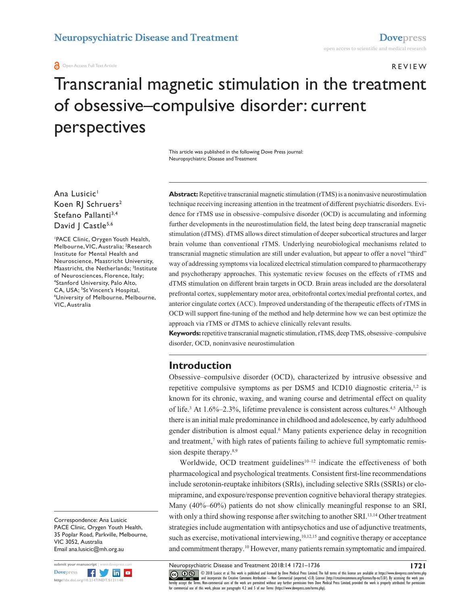**a** Open Access Full Text Article

#### Review

**1721**

# Transcranial magnetic stimulation in the treatment of obsessive–compulsive disorder: current perspectives

This article was published in the following Dove Press journal: Neuropsychiatric Disease and Treatment

Ana Lusicic<sup>1</sup> Koen RJ Schruers<sup>2</sup> Stefano Pallanti<sup>3,4</sup> David | Castle<sup>5,6</sup>

1 PACE Clinic, Orygen Youth Health, Melbourne, VIC, Australia; <sup>2</sup>Research Institute for Mental Health and Neuroscience, Maastricht University, Maastricht, the Netherlands; <sup>3</sup>Institute of Neurosciences, Florence, Italy; 4 Stanford University, Palo Alto, CA, USA; <sup>5</sup>St Vincent's Hospital,<br><sup>6</sup>l Iniversity of Melbourne, Melbo University of Melbourne, Melbourne, VIC, Australia

**Abstract:** Repetitive transcranial magnetic stimulation (rTMS) is a noninvasive neurostimulation technique receiving increasing attention in the treatment of different psychiatric disorders. Evidence for rTMS use in obsessive–compulsive disorder (OCD) is accumulating and informing further developments in the neurostimulation field, the latest being deep transcranial magnetic stimulation (dTMS). dTMS allows direct stimulation of deeper subcortical structures and larger brain volume than conventional rTMS. Underlying neurobiological mechanisms related to transcranial magnetic stimulation are still under evaluation, but appear to offer a novel "third" way of addressing symptoms via localized electrical stimulation compared to pharmacotherapy and psychotherapy approaches. This systematic review focuses on the effects of rTMS and dTMS stimulation on different brain targets in OCD. Brain areas included are the dorsolateral prefrontal cortex, supplementary motor area, orbitofrontal cortex/medial prefrontal cortex, and anterior cingulate cortex (ACC). Improved understanding of the therapeutic effects of rTMS in OCD will support fine-tuning of the method and help determine how we can best optimize the approach via rTMS or dTMS to achieve clinically relevant results.

**Keywords:** repetitive transcranial magnetic stimulation, rTMS, deep TMS, obsessive–compulsive disorder, OCD, noninvasive neurostimulation

## **Introduction**

Obsessive–compulsive disorder (OCD), characterized by intrusive obsessive and repetitive compulsive symptoms as per DSM5 and ICD10 diagnostic criteria,<sup>1,2</sup> is known for its chronic, waxing, and waning course and detrimental effect on quality of life.<sup>3</sup> At 1.6%–2.3%, lifetime prevalence is consistent across cultures.<sup>4,5</sup> Although there is an initial male predominance in childhood and adolescence, by early adulthood gender distribution is almost equal.<sup>6</sup> Many patients experience delay in recognition and treatment,<sup>7</sup> with high rates of patients failing to achieve full symptomatic remission despite therapy.<sup>8,9</sup>

Worldwide, OCD treatment guidelines<sup>10-12</sup> indicate the effectiveness of both pharmacological and psychological treatments. Consistent first-line recommendations include serotonin-reuptake inhibitors (SRIs), including selective SRIs (SSRIs) or clomipramine, and exposure/response prevention cognitive behavioral therapy strategies. Many (40%–60%) patients do not show clinically meaningful response to an SRI, with only a third showing response after switching to another SRI.<sup>13,14</sup> Other treatment strategies include augmentation with antipsychotics and use of adjunctive treatments, such as exercise, motivational interviewing,<sup>10,12,15</sup> and cognitive therapy or acceptance and commitment therapy.10 However, many patients remain symptomatic and impaired.

Neuropsychiatric Disease and Treatment 2018:14 1721–1736

 $H$   $\frac{1}{2}$  in  $\frac{1}{2}$ **[Dovepress](www.dovepress.com) <http://dx.doi.org/10.2147/NDT.S121140>**

Correspondence: Ana Lusicic PACE Clinic, Orygen Youth Health, 35 Poplar Road, Parkville, Melbourne,

submit your manuscript

VIC 3052, Australia Email [ana.lusicic@mh.org.au](mailto:ana.lusicic@mh.org.au)

CCC 1 © 2018 Lusicic et al. This work is published and licensed by Dove Medical Press Limited. The full terms of this license are available at <https://www.dovepress.com/terms.php><br>[hereby accept the Terms](http://www.dovepress.com/permissions.php). Non-commercial use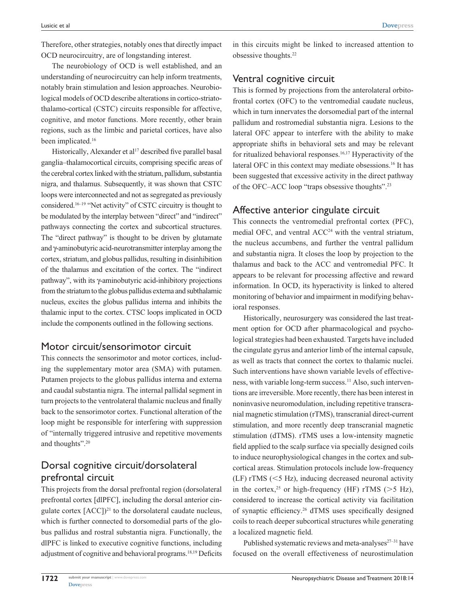Therefore, other strategies, notably ones that directly impact OCD neurocircuitry, are of longstanding interest.

The neurobiology of OCD is well established, and an understanding of neurocircuitry can help inform treatments, notably brain stimulation and lesion approaches. Neurobiological models of OCD describe alterations in cortico-striatothalamo-cortical (CSTC) circuits responsible for affective, cognitive, and motor functions. More recently, other brain regions, such as the limbic and parietal cortices, have also been implicated.<sup>16</sup>

Historically, Alexander et al<sup>17</sup> described five parallel basal ganglia–thalamocortical circuits, comprising specific areas of the cerebral cortex linked with the striatum, pallidum, substantia nigra, and thalamus. Subsequently, it was shown that CSTC loops were interconnected and not as segregated as previously considered.16–19 "Net activity" of CSTC circuitry is thought to be modulated by the interplay between "direct" and "indirect" pathways connecting the cortex and subcortical structures. The "direct pathway" is thought to be driven by glutamate and γ-aminobutyric acid-neurotransmitter interplay among the cortex, striatum, and globus pallidus, resulting in disinhibition of the thalamus and excitation of the cortex. The "indirect pathway", with its γ-aminobutyric acid-inhibitory projections from the striatum to the globus pallidus externa and subthalamic nucleus, excites the globus pallidus interna and inhibits the thalamic input to the cortex. CTSC loops implicated in OCD include the components outlined in the following sections.

## Motor circuit/sensorimotor circuit

This connects the sensorimotor and motor cortices, including the supplementary motor area (SMA) with putamen. Putamen projects to the globus pallidus interna and externa and caudal substantia nigra. The internal pallidal segment in turn projects to the ventrolateral thalamic nucleus and finally back to the sensorimotor cortex. Functional alteration of the loop might be responsible for interfering with suppression of "internally triggered intrusive and repetitive movements and thoughts".20

# Dorsal cognitive circuit/dorsolateral prefrontal circuit

This projects from the dorsal prefrontal region (dorsolateral prefrontal cortex [dlPFC], including the dorsal anterior cingulate cortex  $[ACC]$ <sup>21</sup> to the dorsolateral caudate nucleus, which is further connected to dorsomedial parts of the globus pallidus and rostral substantia nigra. Functionally, the dlPFC is linked to executive cognitive functions, including adjustment of cognitive and behavioral programs.18,19 Deficits in this circuits might be linked to increased attention to obsessive thoughts.22

## Ventral cognitive circuit

This is formed by projections from the anterolateral orbitofrontal cortex (OFC) to the ventromedial caudate nucleus, which in turn innervates the dorsomedial part of the internal pallidum and rostromedial substantia nigra. Lesions to the lateral OFC appear to interfere with the ability to make appropriate shifts in behavioral sets and may be relevant for ritualized behavioral responses.<sup>16,17</sup> Hyperactivity of the lateral OFC in this context may mediate obsessions.<sup>16</sup> It has been suggested that excessive activity in the direct pathway of the OFC–ACC loop "traps obsessive thoughts".23

## Affective anterior cingulate circuit

This connects the ventromedial prefrontal cortex (PFC), medial OFC, and ventral ACC<sup>24</sup> with the ventral striatum, the nucleus accumbens, and further the ventral pallidum and substantia nigra. It closes the loop by projection to the thalamus and back to the ACC and ventromedial PFC. It appears to be relevant for processing affective and reward information. In OCD, its hyperactivity is linked to altered monitoring of behavior and impairment in modifying behavioral responses.

Historically, neurosurgery was considered the last treatment option for OCD after pharmacological and psychological strategies had been exhausted. Targets have included the cingulate gyrus and anterior limb of the internal capsule, as well as tracts that connect the cortex to thalamic nuclei. Such interventions have shown variable levels of effectiveness, with variable long-term success.<sup>11</sup> Also, such interventions are irreversible. More recently, there has been interest in noninvasive neuromodulation, including repetitive transcranial magnetic stimulation (rTMS), transcranial direct-current stimulation, and more recently deep transcranial magnetic stimulation (dTMS). rTMS uses a low-intensity magnetic field applied to the scalp surface via specially designed coils to induce neurophysiological changes in the cortex and subcortical areas. Stimulation protocols include low-frequency (LF) rTMS  $(<$  5 Hz), inducing decreased neuronal activity in the cortex,<sup>25</sup> or high-frequency (HF) rTMS ( $>5$  Hz), considered to increase the cortical activity via facilitation of synaptic efficiency.26 dTMS uses specifically designed coils to reach deeper subcortical structures while generating a localized magnetic field.

Published systematic reviews and meta-analyses $27-31$  have focused on the overall effectiveness of neurostimulation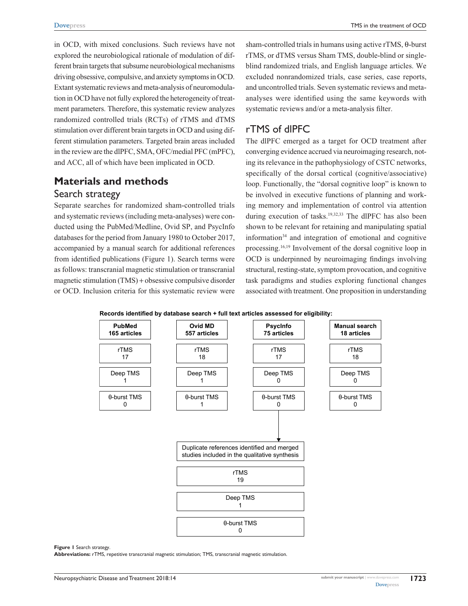in OCD, with mixed conclusions. Such reviews have not explored the neurobiological rationale of modulation of different brain targets that subsume neurobiological mechanisms driving obsessive, compulsive, and anxiety symptoms in OCD. Extant systematic reviews and meta-analysis of neuromodulation in OCD have not fully explored the heterogeneity of treatment parameters. Therefore, this systematic review analyzes randomized controlled trials (RCTs) of rTMS and dTMS stimulation over different brain targets in OCD and using different stimulation parameters. Targeted brain areas included in the review are the dlPFC, SMA, OFC/medial PFC (mPFC), and ACC, all of which have been implicated in OCD.

# **Materials and methods** Search strategy

Separate searches for randomized sham-controlled trials and systematic reviews (including meta-analyses) were conducted using the PubMed/Medline, Ovid SP, and PsycInfo databases for the period from January 1980 to October 2017, accompanied by a manual search for additional references from identified publications (Figure 1). Search terms were as follows: transcranial magnetic stimulation or transcranial magnetic stimulation (TMS) + obsessive compulsive disorder or OCD. Inclusion criteria for this systematic review were sham-controlled trials in humans using active rTMS, θ-burst rTMS, or dTMS versus Sham TMS, double-blind or singleblind randomized trials, and English language articles. We excluded nonrandomized trials, case series, case reports, and uncontrolled trials. Seven systematic reviews and metaanalyses were identified using the same keywords with systematic reviews and/or a meta-analysis filter.

# rTMS of dlPFC

The dlPFC emerged as a target for OCD treatment after converging evidence accrued via neuroimaging research, noting its relevance in the pathophysiology of CSTC networks, specifically of the dorsal cortical (cognitive/associative) loop. Functionally, the "dorsal cognitive loop" is known to be involved in executive functions of planning and working memory and implementation of control via attention during execution of tasks.<sup>19,32,33</sup> The dlPFC has also been shown to be relevant for retaining and manipulating spatial information $34$  and integration of emotional and cognitive processing.16,19 Involvement of the dorsal cognitive loop in OCD is underpinned by neuroimaging findings involving structural, resting-state, symptom provocation, and cognitive task paradigms and studies exploring functional changes associated with treatment. One proposition in understanding

Records identified by database search + full text articles assessed for eligibility:



**Figure 1** Search strategy.

**Abbreviations:** rTMS, repetitive transcranial magnetic stimulation; TMS, transcranial magnetic stimulation.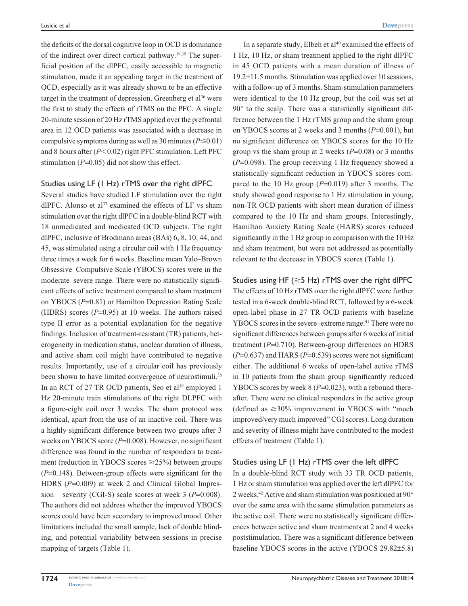the deficits of the dorsal cognitive loop in OCD is dominance of the indirect over direct cortical pathway.19,35 The superficial position of the dlPFC, easily accessible to magnetic stimulation, made it an appealing target in the treatment of OCD, especially as it was already shown to be an effective target in the treatment of depression. Greenberg et  $a^{136}$  were the first to study the effects of rTMS on the PFC. A single 20-minute session of 20 Hz rTMS applied over the prefrontal area in 12 OCD patients was associated with a decrease in compulsive symptoms during as well as 30 minutes ( $P \le 0.01$ ) and 8 hours after  $(P<0.02)$  right PFC stimulation. Left PFC stimulation  $(P=0.05)$  did not show this effect.

#### Studies using LF (1 Hz) rTMS over the right dlPFC

Several studies have studied LF stimulation over the right dlPFC. Alonso et al<sup>37</sup> examined the effects of LF vs sham stimulation over the right dlPFC in a double-blind RCT with 18 unmedicated and medicated OCD subjects. The right dlPFC, inclusive of Brodmann areas (BAs) 6, 8, 10, 44, and 45, was stimulated using a circular coil with 1 Hz frequency three times a week for 6 weeks. Baseline mean Yale–Brown Obsessive–Compulsive Scale (YBOCS) scores were in the moderate–severe range. There were no statistically significant effects of active treatment compared to sham treatment on YBOCS (*P*=0.81) or Hamilton Depression Rating Scale (HDRS) scores (*P*=0.95) at 10 weeks. The authors raised type II error as a potential explanation for the negative findings. Inclusion of treatment-resistant (TR) patients, heterogeneity in medication status, unclear duration of illness, and active sham coil might have contributed to negative results. Importantly, use of a circular coil has previously been shown to have limited convergence of neurostimuli.<sup>38</sup> In an RCT of 27 TR OCD patients, Seo et al<sup>39</sup> employed 1 Hz 20-minute train stimulations of the right DLPFC with a figure-eight coil over 3 weeks. The sham protocol was identical, apart from the use of an inactive coil. There was a highly significant difference between two groups after 3 weeks on YBOCS score ( $P=0.008$ ). However, no significant difference was found in the number of responders to treatment (reduction in YBOCS scores  $\geq$ 25%) between groups (*P*=0.148). Between-group effects were significant for the HDRS ( $P=0.009$ ) at week 2 and Clinical Global Impression – severity (CGI-S) scale scores at week 3 (*P*=0.008). The authors did not address whether the improved YBOCS scores could have been secondary to improved mood. Other limitations included the small sample, lack of double blinding, and potential variability between sessions in precise mapping of targets (Table 1).

In a separate study, Elbeh et  $al^{40}$  examined the effects of 1 Hz, 10 Hz, or sham treatment applied to the right dlPFC in 45 OCD patients with a mean duration of illness of 19.2±11.5 months. Stimulation was applied over 10 sessions, with a follow-up of 3 months. Sham-stimulation parameters were identical to the 10 Hz group, but the coil was set at 90° to the scalp. There was a statistically significant difference between the 1 Hz rTMS group and the sham group on YBOCS scores at 2 weeks and 3 months (*P*=0.001), but no significant difference on YBOCS scores for the 10 Hz group vs the sham group at 2 weeks (*P*=0.08) or 3 months (*P*=0.098). The group receiving 1 Hz frequency showed a statistically significant reduction in YBOCS scores compared to the 10 Hz group (*P*=0.019) after 3 months. The study showed good response to 1 Hz stimulation in young, non-TR OCD patients with short mean duration of illness compared to the 10 Hz and sham groups. Interestingly, Hamilton Anxiety Rating Scale (HARS) scores reduced significantly in the 1 Hz group in comparison with the 10 Hz and sham treatment, but were not addressed as potentially relevant to the decrease in YBOCS scores (Table 1).

Studies using HF ( $\geq$ 5 Hz) rTMS over the right dlPFC The effects of 10 Hz rTMS over the right dlPFC were further tested in a 6-week double-blind RCT, followed by a 6-week open-label phase in 27 TR OCD patients with baseline YBOCS scores in the severe–extreme range.<sup>41</sup> There were no significant differences between groups after 6 weeks of initial treatment ( $P=0.710$ ). Between-group differences on HDRS (*P*=0.637) and HARS (*P*=0.539) scores were not significant either. The additional 6 weeks of open-label active rTMS in 10 patients from the sham group significantly reduced YBOCS scores by week 8 (*P*=0.023), with a rebound thereafter. There were no clinical responders in the active group (defined as  $\geq 30\%$  improvement in YBOCS with "much" improved/very much improved" CGI scores). Long duration and severity of illness might have contributed to the modest effects of treatment (Table 1).

#### Studies using LF (1 Hz) rTMS over the left dlPFC

In a double-blind RCT study with 33 TR OCD patients, 1 Hz or sham stimulation was applied over the left dlPFC for 2 weeks.42 Active and sham stimulation was positioned at 90° over the same area with the same stimulation parameters as the active coil. There were no statistically significant differences between active and sham treatments at 2 and 4 weeks poststimulation. There was a significant difference between baseline YBOCS scores in the active (YBOCS 29.82±5.8)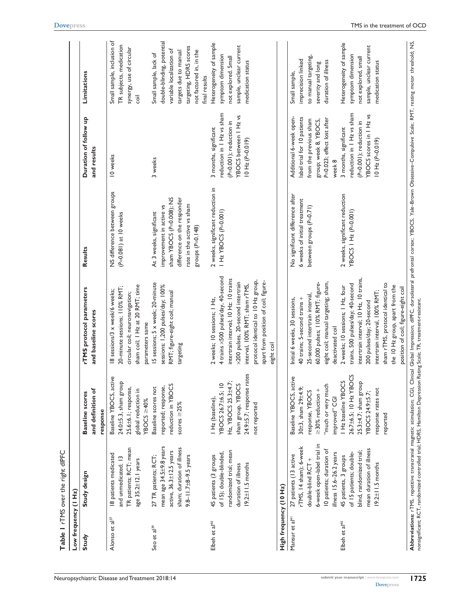|                            | Table I rTMS over the right dIPFC                                                                                                                           |                                                                                                                                         |                                                                                                                                                                                                                                                                                              |                                                                                                                                                                    |                                                                                                                                                   |                                                                                                                                                               |
|----------------------------|-------------------------------------------------------------------------------------------------------------------------------------------------------------|-----------------------------------------------------------------------------------------------------------------------------------------|----------------------------------------------------------------------------------------------------------------------------------------------------------------------------------------------------------------------------------------------------------------------------------------------|--------------------------------------------------------------------------------------------------------------------------------------------------------------------|---------------------------------------------------------------------------------------------------------------------------------------------------|---------------------------------------------------------------------------------------------------------------------------------------------------------------|
| Low frequency (I Hz)       |                                                                                                                                                             |                                                                                                                                         |                                                                                                                                                                                                                                                                                              |                                                                                                                                                                    |                                                                                                                                                   |                                                                                                                                                               |
| Study                      | Study design                                                                                                                                                | and definition of<br><b>Baseline scores</b><br>response                                                                                 | rTMS protocol parameters<br>and baseline scores                                                                                                                                                                                                                                              | Results                                                                                                                                                            | Duration of follow up<br>and results                                                                                                              | Limitations                                                                                                                                                   |
| Alonso et al <sup>37</sup> | TR patients; RCT; mean<br>18 patients medicated<br>and unmedicated; 13<br>age 35.2±12.1 years                                                               | Baseline YBOCS, active<br>$24.0 \pm 5.3$ , sham group<br>25.6±6.1; response,<br>global reduction in<br>YBOCS $\geq 40\%$                | sham coil; I Hz at 20 RMT; time<br>20-minute sessions; II0% RMT;<br>18 sessions/3 x week/6 weeks;<br>circular coil; neuronavigation;<br>parameters same                                                                                                                                      | NS difference between groups<br>(P=0.081) at 10 weeks                                                                                                              | 10 weeks                                                                                                                                          | Small sample, inclusion of<br>TR subjects, medication<br>synergy, use of circular<br>$\overline{5}$                                                           |
| Seo et al <sup>39</sup>    | mean age 34.5±9.8 years<br>sham; duration of illness<br>active, $36.3 \pm 12.5$ years<br>27 TR patients; RCT;<br>9.8-11.7 $\pm$ 8-9.5 years                 | reduction in YBOCS<br>reported; response,<br>Baseline scores not<br>scores $\geq$ 25%                                                   | 15 sessions; 5 x week; 20-minute<br>sessions; 1,200 pulses/day; 100%<br>RMT; figure-eight coil; manual<br>targeting                                                                                                                                                                          | sham YBOCS (P=0.008); NS<br>difference on the responder<br>rate in the active vs sham<br>improvement in active vs<br>At 3 weeks, significant<br>groups $(P=0.148)$ | 3 weeks                                                                                                                                           | double-blinding, potential<br>targeting, HDRS scores<br>variable localization of<br>targets due to manual<br>not factored in, in the<br>Small sample, lack of |
| Elbeh et al <sup>40</sup>  | randomized trial; mean<br>of 15); double-blinded,<br>45 patients (3 groups<br>$19.2 \pm 11.5$ months<br>duration of illness                                 | 24.9±5.7; response rates<br>Hz, YBOCS 25.3±4.7;<br>YBOCS 26.7±6.5; 10<br>sham group, YBOCS<br>I Hz (baseline),<br>not reported          | 4 trains ×500 pulses/day, 40-second<br>intertrain interval; 10 Hz: 10 trains<br>protocol identical to 10 Hz group,<br>apart from position of coil; figure-<br>x200 pulses, 20-second intertrain<br>interval, 100% RMT; sham rTMS,<br>2 weeks; 10 sessions; 1 Hz,<br>eight coil               | 2 weeks, significant reduction in<br>Hz YBOCS (P=0.001)                                                                                                            | reduction in I Hz vs sham<br>YBOCS between   Hz vs<br>$(P=0.001)$ ; reduction in<br>3 months, significant<br>$10 Hz (P=0.019)$                    | Heterogeneity of sample<br>sample, unclear current<br>symptom dimension<br>not explored. Small<br>medication status<br>final results                          |
| High frequency (10 Hz)     |                                                                                                                                                             |                                                                                                                                         |                                                                                                                                                                                                                                                                                              |                                                                                                                                                                    |                                                                                                                                                   |                                                                                                                                                               |
| Mansur et al <sup>41</sup> | 6-week open-label trial in<br>rTMS, 14 sham); 6-week<br>10 patients; duration of<br>illness 15.6-26.2 years<br>27 patients (13 active<br>double-blind RCT + | Baseline YBOCS, active<br>"much or very much<br>30±3, sham 29±4.9;<br>$\geq$ 30% reduction +<br>response, YBOCS<br>improved" CGI        | eight coil; manual targeting; sham,<br>60,000 pulses; II0% RMT; figure-<br>25-second intertrain interval,<br>40 trains; 5-second trains +<br>Initial 6 weeks, 30 sessions,<br>deactivated coil                                                                                               | No significant difference after<br>6 weeks of initial treatment<br>between groups (P=0.71)                                                                         | Additional 6-week open-<br>label trial for 10 patients<br>P=0.023; effect lost after<br>from the previous sham<br>group; week 8, YBOCS,<br>week 8 | to manual targeting,<br>imprecision linked<br>duration of illness<br>severity and long<br>Small sample,                                                       |
| Elbeh et al <sup>40</sup>  | mean duration of illness<br>blind, randomized trial;<br>of 15 patients; double-<br>45 patients, 3 groups<br>$19.2 \pm 11.5$ months                          | $Hz$ baseline YBOCS<br>26.7±6.5; 10 Hz YBOCS<br>$25.3 \pm 4.7$ ; sham group<br>response rates not<br><b>YBOCS 24.9±5.7;</b><br>reported | intertrain interval; 10 Hz, 10 trains,<br>sham rTMS, protocol identical to<br>trains, 500 pulses/day; 40-second<br>the 10 Hz group, apart from the<br>2 weeks; 10 sessions; 1 Hz, four<br>position of coil; figure-eight coil<br>intertrain interval, 100% RMT;<br>200 pulses/day; 20-second | 2 weeks, significant reduction<br>YBOCS   Hz (P=0.001)                                                                                                             | reduction in I Hz vs sham<br>YBOCS scores in I Hz vs<br>$(P=0.001)$ ; reduction in<br>3 months, significant<br>$(0.019)$ Hz (P=0.019)             | Heterogeneity of sample<br>sample, unclear current<br>symptom dimension<br>not explored, small<br>medication status                                           |
|                            |                                                                                                                                                             |                                                                                                                                         | Abbreviations: rTMS, repetitive transcranial magnetic stimulation; CGI, Clinical Global Impression; dIPFC, dorsolateral prefrontal cortex; YBOCS, Yale-Brown Obsessive-Compulsive Scale; RMT, resting motor threshold; NS,<br>non                                                            |                                                                                                                                                                    |                                                                                                                                                   |                                                                                                                                                               |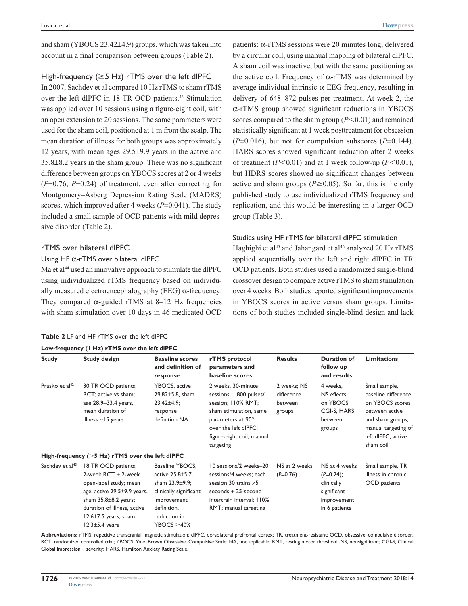and sham (YBOCS 23.42±4.9) groups, which was taken into account in a final comparison between groups (Table 2).

### High-frequency ( $\geq$ 5 Hz) rTMS over the left dlPFC

In 2007, Sachdev et al compared 10 Hz rTMS to sham rTMS over the left dlPFC in 18 TR OCD patients.<sup>43</sup> Stimulation was applied over 10 sessions using a figure-eight coil, with an open extension to 20 sessions. The same parameters were used for the sham coil, positioned at 1 m from the scalp. The mean duration of illness for both groups was approximately 12 years, with mean ages 29.5±9.9 years in the active and 35.8±8.2 years in the sham group. There was no significant difference between groups on YBOCS scores at 2 or 4 weeks (*P*=0.76, *P*=0.24) of treatment, even after correcting for Montgomery–Åsberg Depression Rating Scale (MADRS) scores, which improved after 4 weeks (*P*=0.041). The study included a small sample of OCD patients with mild depressive disorder (Table 2).

#### rTMS over bilateral dlPFC

#### Using HF  $\alpha$ -rTMS over bilateral dlPFC

Ma et al<sup>44</sup> used an innovative approach to stimulate the dlPFC using individualized rTMS frequency based on individually measured electroencephalography (EEG) α-frequency. They compared  $\alpha$ -guided rTMS at 8–12 Hz frequencies with sham stimulation over 10 days in 46 medicated OCD

|                             | Low-frequency (1 Hz) rTMS over the left dIPFC                                                                                                                                                                               |                                                                                                                                                           |                                                                                                                                                                                      |                                                |                                                                                           |                                                                                                                                                         |
|-----------------------------|-----------------------------------------------------------------------------------------------------------------------------------------------------------------------------------------------------------------------------|-----------------------------------------------------------------------------------------------------------------------------------------------------------|--------------------------------------------------------------------------------------------------------------------------------------------------------------------------------------|------------------------------------------------|-------------------------------------------------------------------------------------------|---------------------------------------------------------------------------------------------------------------------------------------------------------|
| <b>Study</b>                | <b>Study design</b>                                                                                                                                                                                                         | <b>Baseline scores</b><br>and definition of<br>response                                                                                                   | rTMS protocol<br>parameters and<br>baseline scores                                                                                                                                   | <b>Results</b>                                 | <b>Duration of</b><br>follow up<br>and results                                            | <b>Limitations</b>                                                                                                                                      |
| Prasko et al <sup>42</sup>  | 30 TR OCD patients;<br>RCT; active vs sham;<br>age 28.9-33.4 years,<br>mean duration of<br>illness $\sim$ 15 years                                                                                                          | YBOCS, active<br>29.82±5.8, sham<br>$23.42 \pm 4.9$ ;<br>response<br>definition NA                                                                        | 2 weeks, 30-minute<br>sessions, 1,800 pulses/<br>session; 110% RMT;<br>sham stimulation, same<br>parameters at 90°<br>over the left dlPFC;<br>figure-eight coil; manual<br>targeting | 2 weeks; NS<br>difference<br>between<br>groups | 4 weeks,<br>NS effects<br>on YBOCS,<br>CGI-S, HARS<br>between<br>groups                   | Small sample,<br>baseline difference<br>on YBOCS scores<br>between active<br>and sham groups,<br>manual targeting of<br>left dlPFC, active<br>sham coil |
|                             | High-frequency ( $>5$ Hz) rTMS over the left dIPFC                                                                                                                                                                          |                                                                                                                                                           |                                                                                                                                                                                      |                                                |                                                                                           |                                                                                                                                                         |
| Sachdev et al <sup>43</sup> | 18 TR OCD patients;<br>2-week $RCT + 2$ -week<br>open-label study; mean<br>age, active $29.5\pm9.9$ years,<br>sham $35.8\pm8.2$ years;<br>duration of illness, active<br>$12.6 \pm 7.5$ years, sham<br>$12.3 \pm 5.4$ years | Baseline YBOCS,<br>active 25.8±5.7,<br>sham $23.9 \pm 9.9$ ;<br>clinically significant<br>improvement<br>definition,<br>reduction in<br>$YBOCS \geq 40\%$ | 10 sessions/2 weeks-20<br>sessions/4 weeks; each<br>session 30 trains $\times$ 5<br>$seconds + 25-second$<br>intertrain interval; 110%<br>RMT; manual targeting                      | NS at 2 weeks<br>$(P=0.76)$                    | NS at 4 weeks<br>$(P=0.24);$<br>clinically<br>significant<br>improvement<br>in 6 patients | Small sample, TR<br>illness in chronic<br>OCD patients                                                                                                  |

**Table 2** LF and HF rTMS over the left dlPFC

patients: α-rTMS sessions were 20 minutes long, delivered by a circular coil, using manual mapping of bilateral dlPFC. A sham coil was inactive, but with the same positioning as the active coil. Frequency of  $α$ -rTMS was determined by average individual intrinsic α-EEG frequency, resulting in delivery of 648–872 pulses per treatment. At week 2, the α-rTMS group showed significant reductions in YBOCS scores compared to the sham group  $(P<0.01)$  and remained statistically significant at 1 week posttreatment for obsession  $(P=0.016)$ , but not for compulsion subscores  $(P=0.144)$ . HARS scores showed significant reduction after 2 weeks of treatment  $(P<0.01)$  and at 1 week follow-up  $(P<0.01)$ , but HDRS scores showed no significant changes between active and sham groups ( $P \ge 0.05$ ). So far, this is the only published study to use individualized rTMS frequency and replication, and this would be interesting in a larger OCD group (Table 3).

#### Studies using HF rTMS for bilateral dlPFC stimulation

Haghighi et al<sup>45</sup> and Jahangard et al<sup>46</sup> analyzed 20 Hz rTMS applied sequentially over the left and right dlPFC in TR OCD patients. Both studies used a randomized single-blind crossover design to compare active rTMS to sham stimulation over 4 weeks. Both studies reported significant improvements in YBOCS scores in active versus sham groups. Limitations of both studies included single-blind design and lack

**Abbreviations:** rTMS, repetitive transcranial magnetic stimulation; dlPFC, dorsolateral prefrontal cortex; TR, treatment-resistant; OCD, obsessive–compulsive disorder; RCT, randomized controlled trial; YBOCS, Yale–Brown Obsessive–Compulsive Scale; NA, not applicable; RMT, resting motor threshold; NS, nonsignificant; CGI-S, Clinical Global Impression – severity; HARS, Hamilton Anxiety Rating Scale.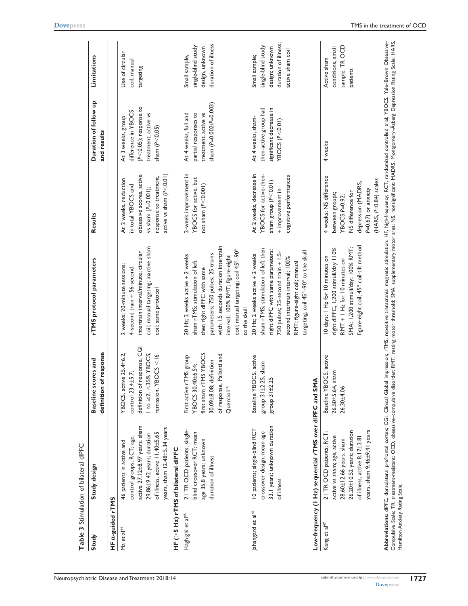|                                | Table 3 Stimulation of bilateral dIPFC                                                                                                                                                       |                                                                                                                                                                 |                                                                                                                                                                                                                                                                                                                                                                                                                                                          |                                                                                                                                                         |                                                                                                                 |                                                                                                    |
|--------------------------------|----------------------------------------------------------------------------------------------------------------------------------------------------------------------------------------------|-----------------------------------------------------------------------------------------------------------------------------------------------------------------|----------------------------------------------------------------------------------------------------------------------------------------------------------------------------------------------------------------------------------------------------------------------------------------------------------------------------------------------------------------------------------------------------------------------------------------------------------|---------------------------------------------------------------------------------------------------------------------------------------------------------|-----------------------------------------------------------------------------------------------------------------|----------------------------------------------------------------------------------------------------|
| Study                          | Study design                                                                                                                                                                                 | of response<br><b>Baseline scores and</b><br>definition                                                                                                         | rTMS protocol parameters                                                                                                                                                                                                                                                                                                                                                                                                                                 | Results                                                                                                                                                 | Duration of follow up<br>and results                                                                            | Limitations                                                                                        |
| HF a-guided rTMS               |                                                                                                                                                                                              |                                                                                                                                                                 |                                                                                                                                                                                                                                                                                                                                                                                                                                                          |                                                                                                                                                         |                                                                                                                 |                                                                                                    |
| Ma et al <sup>44</sup>         | active $27.12 \pm 8.97$ years, sham<br>years, sham 12.48±5.34 years<br>of illness, active 11.40±5.65<br>29.86±9.42 years; duration<br>control groups; RCT; age,<br>46 patients in active and | definition of response, CGI<br>$1$ to $\geq$ 2, $<$ 35% YBOCS,<br>YBOCS, active 25.4±6.2,<br>remission, YBOCS <16<br>control 23.4±5.7;                          | coil; manual targeting; inactive sham<br>intertrain interval/minute; circular<br>2 weeks; 20-minute sessions;<br>4-second train + 56-second<br>coil; same protocol                                                                                                                                                                                                                                                                                       | active vs sham $(P<0.01)$<br>obsessive scores, active<br>response to treatment,<br>At 2 weeks, reduction<br>in total YBOCS and<br>vs sham $(P=0.001)$ ; | $(P<0.05)$ ; response to<br>difference in YBOCS<br>treatment, active vs<br>At 3 weeks, group<br>sham $(P<0.05)$ | Use of circular<br>coil, manual<br>targeting                                                       |
|                                | $HF(>5 Hz) rTMS$ of bilateral dIPFC                                                                                                                                                          |                                                                                                                                                                 |                                                                                                                                                                                                                                                                                                                                                                                                                                                          |                                                                                                                                                         |                                                                                                                 |                                                                                                    |
| Haghighi et al <sup>45</sup>   | 21 TR OCD patients; single-<br>blind crossover RCT; mean<br>age 35.8 years; unknown<br>duration of illness                                                                                   | first sham rTMS YBOCS<br>Pallanti and<br>First active rTMS group<br>definition<br>YBOCS 30.40±6.54;<br>of response,<br>30.09 ± 8.08;<br>Quercioli <sup>14</sup> | with 1.5 seconds duration intertrain<br>coil; manual targeting; coil 45°-90°<br>parameters; 750 pulses; 25 trains<br>20 Hz; 2 weeks active + 2 weeks<br>interval; 100% RMT; figure-eight<br>sham rTMS; stimulation of left<br>then right dlPFC with same<br>to the skull                                                                                                                                                                                 | 2-week improvement in<br>YBOCS for active, but<br>not sham $(P<0.001)$                                                                                  | sham (P=0.002/P=0.003)<br>treatment, active vs<br>partial responses to<br>At 4 weeks, full and                  | duration of illness<br>single-blind study<br>design, unknown<br>Small sample,                      |
| Jahangard et al <sup>46</sup>  | 33.1 years; unknown duration<br>10 patients; single-blind RCT<br>crossover design; mean age<br>of illness                                                                                    | Baseline YBOCS, active<br>group $31 \pm 2.25$ , sham<br>group $31 + 2.25$                                                                                       | sham rTMS; stimulation of left then<br>right dIPFC with same parameters:<br>targeting; coil 45°-90° to the skull<br>750 pulses; 25-second train + 1.5-<br>20 Hz; 2 weeks active + 2 weeks<br>second intertrain interval; 100%<br>RMT; figure-eight coil; manual                                                                                                                                                                                          | At 2 weeks, decrease in<br>YBOCS for active-then-<br>cognitive performances<br>sham group $(P<0.01)$<br>+ improvement in                                | then-active group had<br>significant decrease in<br>At 4 weeks, sham-<br>YBOCS (P<0.01)                         | duration of illness;<br>single-blind study<br>design; unknown<br>active sham coil<br>Small sample; |
|                                | Low-frequency (I Hz) sequential rTMS over dIPFC and SM                                                                                                                                       | ₹                                                                                                                                                               |                                                                                                                                                                                                                                                                                                                                                                                                                                                          |                                                                                                                                                         |                                                                                                                 |                                                                                                    |
| Kang et al <sup>47</sup>       | years, sham 9.46±9.41 years<br>26.20±10.52 years; duration<br>21 TR OCD patients; RCT;<br>active vs sham; age, active<br>of illness, active 8.17±3.81<br>28.60±12.66 years, sham             | Baseline YBOCS, active<br>sham<br>26.50±5.64,<br>26.30±4.06                                                                                                     | figure-eight coil; 45° coil-tilt method<br>SMA; 1,200 stimuli/day; 100% RMT;<br>right dIPFC, I,200 stimuli/day 110%<br>10 days; I Hz for 10 minutes on<br>RMT + I Hz for 10 minutes on                                                                                                                                                                                                                                                                   | 4 weeks; NS difference<br>(HARS, P=0.84) scales<br>depression (MADRS,<br>$P=0.67$ ) or anxiety<br>NS difference for<br>between groups;<br>YBOCS P=0.92; | 4 weeks                                                                                                         | sample, TR OCD<br>conditions, small<br>Active sham<br>patients                                     |
| Hamilton Anxiety Rating Scale. |                                                                                                                                                                                              |                                                                                                                                                                 | Abbreviations: dIPFC, dorsolateral prefrontal cortex; CGI, Clinical Global Impression; rTMS, repetitive transcranial magnetic stimulation; HF, high-frequency; RCT, randomized controlled trial; YBOCS, Yale-Brown Obsessive-<br>Compulsive Scale; TR, treatment-resistant; OCD, obsessive-compulsive disorder; RMT, resting motor threshold; SMA, supplementary motor area; NS, nonsignificant; MADRS, Montgomery-Åsberg Depression Rating Scale; HARS, |                                                                                                                                                         |                                                                                                                 |                                                                                                    |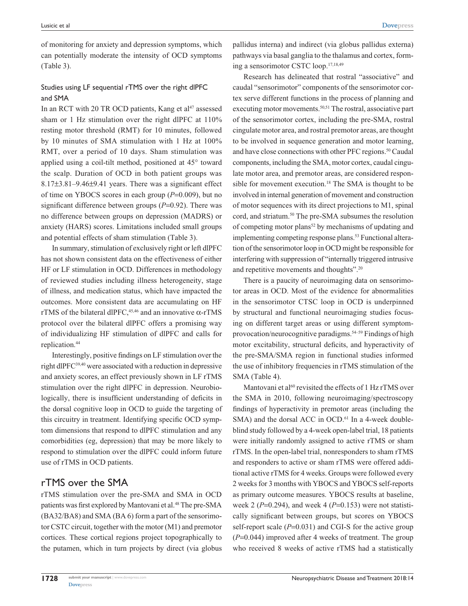of monitoring for anxiety and depression symptoms, which can potentially moderate the intensity of OCD symptoms (Table 3).

## Studies using LF sequential rTMS over the right dlPFC and SMA

In an RCT with 20 TR OCD patients, Kang et  $al<sup>47</sup>$  assessed sham or 1 Hz stimulation over the right dlPFC at 110% resting motor threshold (RMT) for 10 minutes, followed by 10 minutes of SMA stimulation with 1 Hz at 100% RMT, over a period of 10 days. Sham stimulation was applied using a coil-tilt method, positioned at 45° toward the scalp. Duration of OCD in both patient groups was 8.17±3.81–9.46±9.41 years. There was a significant effect of time on YBOCS scores in each group (*P*=0.009), but no significant difference between groups (*P*=0.92). There was no difference between groups on depression (MADRS) or anxiety (HARS) scores. Limitations included small groups and potential effects of sham stimulation (Table 3).

In summary, stimulation of exclusively right or left dlPFC has not shown consistent data on the effectiveness of either HF or LF stimulation in OCD. Differences in methodology of reviewed studies including illness heterogeneity, stage of illness, and medication status, which have impacted the outcomes. More consistent data are accumulating on HF rTMS of the bilateral dlPFC, $45,46$  and an innovative  $\alpha$ -rTMS protocol over the bilateral dlPFC offers a promising way of individualizing HF stimulation of dlPFC and calls for replication.44

Interestingly, positive findings on LF stimulation over the right dlPFC39,40 were associated with a reduction in depressive and anxiety scores, an effect previously shown in LF rTMS stimulation over the right dlPFC in depression. Neurobiologically, there is insufficient understanding of deficits in the dorsal cognitive loop in OCD to guide the targeting of this circuitry in treatment. Identifying specific OCD symptom dimensions that respond to dlPFC stimulation and any comorbidities (eg, depression) that may be more likely to respond to stimulation over the dlPFC could inform future use of rTMS in OCD patients.

## rTMS over the SMA

rTMS stimulation over the pre-SMA and SMA in OCD patients was first explored by Mantovani et al.<sup>48</sup> The pre-SMA (BA32/BA8) and SMA (BA 6) form a part of the sensorimotor CSTC circuit, together with the motor (M1) and premotor cortices. These cortical regions project topographically to the putamen, which in turn projects by direct (via globus pallidus interna) and indirect (via globus pallidus externa) pathways via basal ganglia to the thalamus and cortex, forming a sensorimotor CSTC loop.17,18,49

Research has delineated that rostral "associative" and caudal "sensorimotor" components of the sensorimotor cortex serve different functions in the process of planning and executing motor movements.<sup>50,51</sup> The rostral, associative part of the sensorimotor cortex, including the pre-SMA, rostral cingulate motor area, and rostral premotor areas, are thought to be involved in sequence generation and motor learning, and have close connections with other PFC regions.<sup>50</sup> Caudal components, including the SMA, motor cortex, caudal cingulate motor area, and premotor areas, are considered responsible for movement execution.<sup>18</sup> The SMA is thought to be involved in internal generation of movement and construction of motor sequences with its direct projections to M1, spinal cord, and striatum.<sup>50</sup> The pre-SMA subsumes the resolution of competing motor plans<sup>52</sup> by mechanisms of updating and implementing competing response plans.<sup>53</sup> Functional alteration of the sensorimotor loop in OCD might be responsible for interfering with suppression of "internally triggered intrusive and repetitive movements and thoughts".20

There is a paucity of neuroimaging data on sensorimotor areas in OCD. Most of the evidence for abnormalities in the sensorimotor CTSC loop in OCD is underpinned by structural and functional neuroimaging studies focusing on different target areas or using different symptomprovocation/neurocognitive paradigms.54–59 Findings of high motor excitability, structural deficits, and hyperactivity of the pre-SMA/SMA region in functional studies informed the use of inhibitory frequencies in rTMS stimulation of the SMA (Table 4).

Mantovani et al<sup>60</sup> revisited the effects of 1 Hz rTMS over the SMA in 2010, following neuroimaging/spectroscopy findings of hyperactivity in premotor areas (including the SMA) and the dorsal ACC in OCD.<sup>61</sup> In a 4-week doubleblind study followed by a 4-week open-label trial, 18 patients were initially randomly assigned to active rTMS or sham rTMS. In the open-label trial, nonresponders to sham rTMS and responders to active or sham rTMS were offered additional active rTMS for 4 weeks. Groups were followed every 2 weeks for 3 months with YBOCS and YBOCS self-reports as primary outcome measures. YBOCS results at baseline, week 2 (*P*=0.294), and week 4 (*P*=0.153) were not statistically significant between groups, but scores on YBOCS self-report scale ( $P=0.031$ ) and CGI-S for the active group (*P*=0.044) improved after 4 weeks of treatment. The group who received 8 weeks of active rTMS had a statistically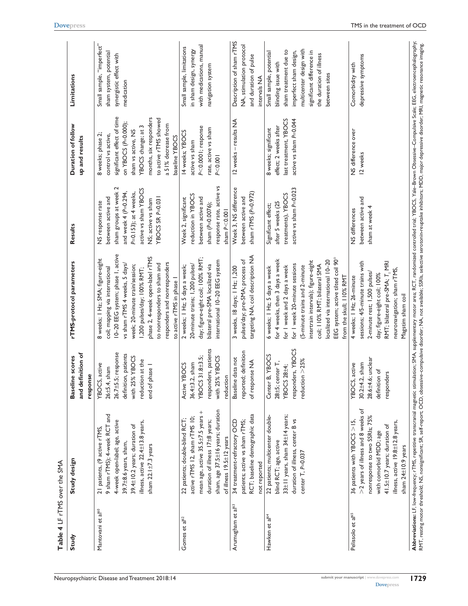| Study                         | Study design                                                                                                                                                                                                                       | and definition of<br>ine scores<br>response<br><b>Basel</b>                                                                                              | rTMS-protocol parameters                                                                                                                                                                                                                                                                                                                         | Results                                                                                                                                                                                  | Duration of follow<br>up and results                                                                                                                                                                                                 | Limitations                                                                                                                                                                                           |
|-------------------------------|------------------------------------------------------------------------------------------------------------------------------------------------------------------------------------------------------------------------------------|----------------------------------------------------------------------------------------------------------------------------------------------------------|--------------------------------------------------------------------------------------------------------------------------------------------------------------------------------------------------------------------------------------------------------------------------------------------------------------------------------------------------|------------------------------------------------------------------------------------------------------------------------------------------------------------------------------------------|--------------------------------------------------------------------------------------------------------------------------------------------------------------------------------------------------------------------------------------|-------------------------------------------------------------------------------------------------------------------------------------------------------------------------------------------------------|
| Mantovani et al <sup>60</sup> | 9 sham rTMS); 4-week RCT and<br>4-week open-label; age, active<br>illness, active $22.4 \pm 13.8$ years,<br>39.4±10.2 years; duration of<br>21 patients, (9 active rTMS,<br>$39.7\pm8.6$ years, sham,<br>sham $22.1 \pm 7.3$ years | i.5; response<br>definition, patients<br>with 25% YBOCS<br>reduction at the<br>YBOCS, active<br>phase I<br>$26 \pm 5.4$ , sham<br>$26.7 \pm 5$<br>end of | 10-20 EEG system; phase 1, active<br>phase 2, 4-week open-label rTMS<br>8 weeks; I Hz; SMA; figure-eight<br>responders and nonresponders<br>vs sham rTMS 4 weeks, 5 days/<br>to nonresponders to sham and<br>week; 20-minute train/session;<br>coil; mapping via international<br>1,200 pulses/day; 100% RMT;<br>to active rTMS in phase I       | sham groups at week 2<br>active vs sham YBOCS<br>and week $4$ ( $P=0.294$ ,<br>P=0.153); at 4 weeks,<br>YBOCS SR P=0.031<br>between active and<br>NS; active vs sham<br>NS response rate | significant effect of time<br>months, six responders<br>to active rTMS showed<br>on YBOCS (P=0.000);<br>a 51% decrease from<br>YBOCS change; at 3<br>sham vs active, NS<br>8 weeks; phase 2;<br>control vs active,<br>baseline YBOCS | Small sample, "imperfect"<br>sham system, potential<br>synergistic effect with<br>medication                                                                                                          |
| Gomes et al <sup>62</sup>     | sham, age 37.5±16 years; duration<br>$^+$<br>mean age, active 35.5±7.5 years<br>active rTMS 12, sham rTMS 10;<br>22 patients; double-blind RCT;<br>duration of illness 17±8 years;<br>of illness 19.5±12 years                     | responders, patients<br>with 25% YBOCS<br>YBOCS 31.8±3.5;<br>36.4 $\pm$ 3.2, sham<br>YBOCS<br>reduction<br>Active                                        | day; figure-eight coil; 100% RMT;<br>international 10-20 EEG system<br>20-minute trains; 1,200 pulses/<br>bilateral pre-SMA localized via<br>2 weeks; I Hz; 5 days a week;                                                                                                                                                                       | response rate, active vs<br>reduction in YBOCS<br>between active and<br>Week 2, significant<br>sham (P=0.0076);<br>sham $P < 0.001$                                                      | P<0.0001; response<br>rate, active vs sham<br>14 weeks; YBOCS<br>active vs sham<br>P < 0.001                                                                                                                                         | with medications, manual<br>Small sample, limitations<br>in sham design, synergy<br>navigation system                                                                                                 |
| Arumugham et al <sup>63</sup> | RCT; baseline demographic data<br>patients; active vs sham rTMS;<br>34 treatment-refractory OCD<br>not reported                                                                                                                    | reported; definition<br>Baseline data not<br>of response NA                                                                                              | targeting NA; coil description NA<br>pulses/day; pre-SMA; process of<br>3 weeks, 18 days; 1 Hz; 1,200                                                                                                                                                                                                                                            | Week 3, NS difference<br>sham rTMS (P=0.972)<br>between active and                                                                                                                       | 12 weeks - results NA                                                                                                                                                                                                                | Description of sham rTMS<br>NA, stimulation protocol<br>and duration of pulse<br>intervals NA                                                                                                         |
| Hawken et al <sup>64</sup>    | 33±11 years, sham 34±14 years;<br>22 patients; multicenter double-<br>duration of illness, center B vs<br>blind RCT; age, active<br>center $T$ , $P=0.037$                                                                         | responders, YBOCS<br>Center B, YBOCS<br>reduction >25%<br>center T,<br>YBOCS 28±4;<br>$28 + 5$ ;                                                         | EEG system; active tilted coil 90°<br>for 4 weeks, then 3 days a week<br>localized via international 10-20<br>intertrain intervals); figure-eight<br>for 1 week 20-minute sessions<br>(5-minute trains and 2-minute<br>coil; IIO% RMT; bilateral SMA<br>for 1 week and 2 days a week<br>6 weeks; I Hz; 5 days a week<br>from the skull; II0% RMT | active vs sham P=0.023<br>treatments), YBOCS<br>after 5 weeks (25<br>Significant effect;                                                                                                 | last treatment, YBOCS<br>active vs sham P=0.044<br>effect; 2 weeks after<br>8 weeks; significant                                                                                                                                     | multicenter design with<br>sham treatment due to<br>imperfect sham design,<br>significant difference in<br>Small sample, potential<br>the duration of illness<br>blinding issue with<br>between sites |
| Pelissolo et al <sup>65</sup> | >2 years of illness and 8 weeks of<br>nonresponse to two SSRIs; 75%<br>36 patients with YBOCS >15,<br>illness, active $19.8 \pm 12.8$ years,<br>41.5±10.7 years; duration of<br>with comorbid MDD; age<br>sham $24\pm10.9$ years   | .6; unclear<br>$30.2 \pm 4.2$ , sham<br>YBOCS, active<br>definition of<br>responders<br>$28.6 + 4$                                                       | sessions; 4/5-minute trains with<br>RMT; bilateral pre-SMA; T, MRI<br>neuronavigation; sham rTMS,<br>2-minute rest; 1,500 pulses/<br>day; figure-eight coil; 100%<br>4 weeks; I Hz; 26-minute<br>Magstim sham coil                                                                                                                               | between active and<br>sham at week 4<br>NS differences                                                                                                                                   | NS difference over<br>12 weeks                                                                                                                                                                                                       | depressive symptoms<br>Comorbidity with                                                                                                                                                               |

**1729**

**[Dovepress](www.dovepress.com)**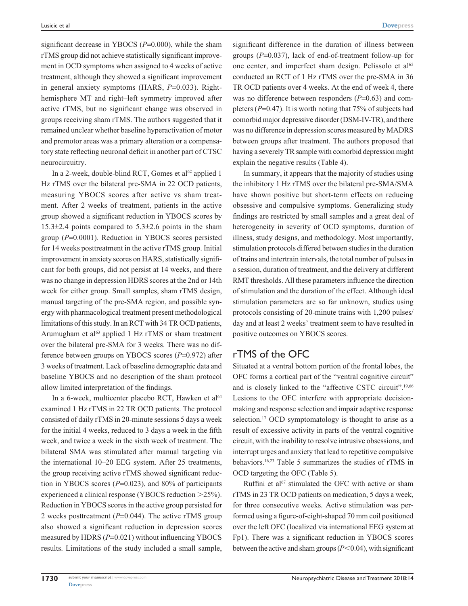significant decrease in YBOCS (*P*=0.000), while the sham rTMS group did not achieve statistically significant improvement in OCD symptoms when assigned to 4 weeks of active treatment, although they showed a significant improvement in general anxiety symptoms (HARS, *P*=0.033). Righthemisphere MT and right–left symmetry improved after active rTMS, but no significant change was observed in groups receiving sham rTMS. The authors suggested that it remained unclear whether baseline hyperactivation of motor and premotor areas was a primary alteration or a compensatory state reflecting neuronal deficit in another part of CTSC neurocircuitry.

In a 2-week, double-blind RCT, Gomes et al<sup>62</sup> applied 1 Hz rTMS over the bilateral pre-SMA in 22 OCD patients, measuring YBOCS scores after active vs sham treatment. After 2 weeks of treatment, patients in the active group showed a significant reduction in YBOCS scores by 15.3±2.4 points compared to 5.3±2.6 points in the sham group (*P*=0.0001). Reduction in YBOCS scores persisted for 14 weeks posttreatment in the active rTMS group. Initial improvement in anxiety scores on HARS, statistically significant for both groups, did not persist at 14 weeks, and there was no change in depression HDRS scores at the 2nd or 14th week for either group. Small samples, sham rTMS design, manual targeting of the pre-SMA region, and possible synergy with pharmacological treatment present methodological limitations of this study. In an RCT with 34 TR OCD patients, Arumugham et al $^{63}$  applied 1 Hz rTMS or sham treatment over the bilateral pre-SMA for 3 weeks. There was no difference between groups on YBOCS scores (*P*=0.972) after 3 weeks of treatment. Lack of baseline demographic data and baseline YBOCS and no description of the sham protocol allow limited interpretation of the findings.

In a 6-week, multicenter placebo RCT, Hawken et  $al<sup>64</sup>$ examined 1 Hz rTMS in 22 TR OCD patients. The protocol consisted of daily rTMS in 20-minute sessions 5 days a week for the initial 4 weeks, reduced to 3 days a week in the fifth week, and twice a week in the sixth week of treatment. The bilateral SMA was stimulated after manual targeting via the international 10–20 EEG system. After 25 treatments, the group receiving active rTMS showed significant reduction in YBOCS scores (*P*=0.023), and 80% of participants experienced a clinical response (YBOCS reduction  $>25\%$ ). Reduction in YBOCS scores in the active group persisted for 2 weeks posttreatment (*P*=0.044). The active rTMS group also showed a significant reduction in depression scores measured by HDRS (*P*=0.021) without influencing YBOCS results. Limitations of the study included a small sample,

significant difference in the duration of illness between groups (*P*=0.037), lack of end-of-treatment follow-up for one center, and imperfect sham design. Pelissolo et al<sup>65</sup> conducted an RCT of 1 Hz rTMS over the pre-SMA in 36 TR OCD patients over 4 weeks. At the end of week 4, there was no difference between responders ( $P=0.63$ ) and completers (*P*=0.47). It is worth noting that 75% of subjects had comorbid major depressive disorder (DSM-IV-TR), and there was no difference in depression scores measured by MADRS between groups after treatment. The authors proposed that having a severely TR sample with comorbid depression might explain the negative results (Table 4).

In summary, it appears that the majority of studies using the inhibitory 1 Hz rTMS over the bilateral pre-SMA/SMA have shown positive but short-term effects on reducing obsessive and compulsive symptoms. Generalizing study findings are restricted by small samples and a great deal of heterogeneity in severity of OCD symptoms, duration of illness, study designs, and methodology. Most importantly, stimulation protocols differed between studies in the duration of trains and intertrain intervals, the total number of pulses in a session, duration of treatment, and the delivery at different RMT thresholds. All these parameters influence the direction of stimulation and the duration of the effect. Although ideal stimulation parameters are so far unknown, studies using protocols consisting of 20-minute trains with 1,200 pulses/ day and at least 2 weeks' treatment seem to have resulted in positive outcomes on YBOCS scores.

## rTMS of the OFC

Situated at a ventral bottom portion of the frontal lobes, the OFC forms a cortical part of the "ventral cognitive circuit" and is closely linked to the "affective CSTC circuit".<sup>19,66</sup> Lesions to the OFC interfere with appropriate decisionmaking and response selection and impair adaptive response selection.<sup>17</sup> OCD symptomatology is thought to arise as a result of excessive activity in parts of the ventral cognitive circuit, with the inability to resolve intrusive obsessions, and interrupt urges and anxiety that lead to repetitive compulsive behaviors.16,23 Table 5 summarizes the studies of rTMS in OCD targeting the OFC (Table 5).

Ruffini et al<sup>67</sup> stimulated the OFC with active or sham rTMS in 23 TR OCD patients on medication, 5 days a week, for three consecutive weeks. Active stimulation was performed using a figure-of-eight-shaped 70 mm coil positioned over the left OFC (localized via international EEG system at Fp1). There was a significant reduction in YBOCS scores between the active and sham groups  $(P<0.04)$ , with significant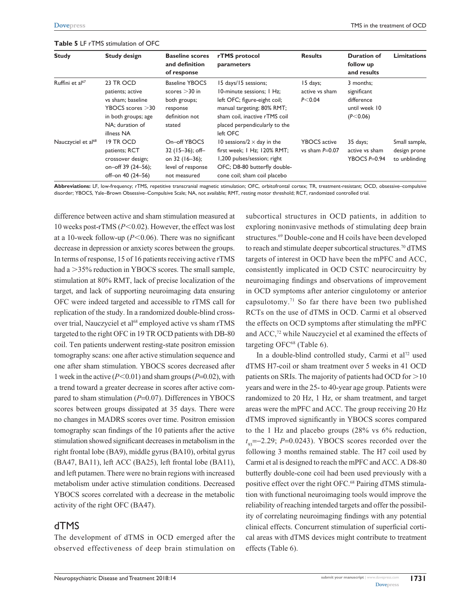| <b>Study</b>                   | <b>Study design</b>                                                                                                             | <b>Baseline scores</b><br>and definition<br>of response                                           | rTMS protocol<br>parameters                                                                                                                                                                   | <b>Results</b>                          | <b>Duration of</b><br>follow up<br>and results                      | <b>Limitations</b>                             |
|--------------------------------|---------------------------------------------------------------------------------------------------------------------------------|---------------------------------------------------------------------------------------------------|-----------------------------------------------------------------------------------------------------------------------------------------------------------------------------------------------|-----------------------------------------|---------------------------------------------------------------------|------------------------------------------------|
| Ruffini et al <sup>67</sup>    | 23 TR OCD<br>patients; active<br>vs sham; baseline<br>YBOCS scores > 30<br>in both groups; age<br>NA; duration of<br>illness NA | <b>Baseline YBOCS</b><br>scores $>$ 30 in<br>both groups;<br>response<br>definition not<br>stated | 15 days/15 sessions;<br>10-minute sessions; 1 Hz;<br>left OFC; figure-eight coil;<br>manual targeting; 80% RMT;<br>sham coil, inactive rTMS coil<br>placed perpendicularly to the<br>left OFC | 15 days;<br>active vs sham<br>P < 0.04  | 3 months;<br>significant<br>difference<br>until week 10<br>(P<0.06) |                                                |
| Nauczyciel et al <sup>68</sup> | 19 TR OCD<br>patients; RCT<br>crossover design;<br>on-off 39 (24-56);<br>off-on 40 (24-56)                                      | On-off YBOCS<br>$32$ (15-36); off-<br>on 32 (16–36);<br>level of response<br>not measured         | 10 sessions/2 $\times$ day in the<br>first week; 1 Hz; 120% RMT;<br>1,200 pulses/session; right<br>OFC; D8-80 butterfly double-<br>cone coil; sham coil placebo                               | <b>YBOCS</b> active<br>vs sham $P=0.07$ | 35 days;<br>active vs sham<br>YBOCS $P=0.94$                        | Small sample,<br>design prone<br>to unblinding |

#### **Table 5** LF rTMS stimulation of OFC

**Abbreviations:** LF, low-frequency; rTMS, repetitive transcranial magnetic stimulation; OFC, orbitofrontal cortex; TR, treatment-resistant; OCD, obsessive–compulsive disorder; YBOCS, Yale–Brown Obsessive–Compulsive Scale; NA, not available; RMT, resting motor threshold; RCT, randomized controlled trial.

difference between active and sham stimulation measured at 10 weeks post-rTMS ( $P$ <0.02). However, the effect was lost at a 10-week follow-up  $(P<0.06)$ . There was no significant decrease in depression or anxiety scores between the groups. In terms of response, 15 of 16 patients receiving active rTMS had a  $>$ 35% reduction in YBOCS scores. The small sample, stimulation at 80% RMT, lack of precise localization of the target, and lack of supporting neuroimaging data ensuring OFC were indeed targeted and accessible to rTMS call for replication of the study. In a randomized double-blind crossover trial, Nauczyciel et al<sup>68</sup> employed active vs sham rTMS targeted to the right OFC in 19 TR OCD patients with DB-80 coil. Ten patients underwent resting-state positron emission tomography scans: one after active stimulation sequence and one after sham stimulation. YBOCS scores decreased after 1 week in the active  $(P<0.01)$  and sham groups  $(P=0.02)$ , with a trend toward a greater decrease in scores after active compared to sham stimulation (*P*=0.07). Differences in YBOCS scores between groups dissipated at 35 days. There were no changes in MADRS scores over time. Positron emission tomography scan findings of the 10 patients after the active stimulation showed significant decreases in metabolism in the right frontal lobe (BA9), middle gyrus (BA10), orbital gyrus (BA47, BA11), left ACC (BA25), left frontal lobe (BA11), and left putamen. There were no brain regions with increased metabolism under active stimulation conditions. Decreased YBOCS scores correlated with a decrease in the metabolic activity of the right OFC (BA47).

## dTMS

The development of dTMS in OCD emerged after the observed effectiveness of deep brain stimulation on subcortical structures in OCD patients, in addition to exploring noninvasive methods of stimulating deep brain structures.<sup>69</sup> Double-cone and H coils have been developed to reach and stimulate deeper subcortical structures.<sup>70</sup> dTMS targets of interest in OCD have been the mPFC and ACC, consistently implicated in OCD CSTC neurocircuitry by neuroimaging findings and observations of improvement in OCD symptoms after anterior cingulotomy or anterior capsulotomy.<sup>71</sup> So far there have been two published RCTs on the use of dTMS in OCD. Carmi et al observed the effects on OCD symptoms after stimulating the mPFC and ACC,72 while Nauczyciel et al examined the effects of targeting OFC<sup>68</sup> (Table 6).

In a double-blind controlled study, Carmi et al<sup>72</sup> used dTMS H7-coil or sham treatment over 5 weeks in 41 OCD patients on SRIs. The majority of patients had OCD for  $>10$ years and were in the 25- to 40-year age group. Patients were randomized to 20 Hz, 1 Hz, or sham treatment, and target areas were the mPFC and ACC. The group receiving 20 Hz dTMS improved significantly in YBOCS scores compared to the 1 Hz and placebo groups (28% vs 6% reduction,  $t_{93}$ =–2.29; *P*=0.0243). YBOCS scores recorded over the following 3 months remained stable. The H7 coil used by Carmi et al is designed to reach the mPFC and ACC. A D8-80 butterfly double-cone coil had been used previously with a positive effect over the right OFC.<sup>68</sup> Pairing dTMS stimulation with functional neuroimaging tools would improve the reliability of reaching intended targets and offer the possibility of correlating neuroimaging findings with any potential clinical effects. Concurrent stimulation of superficial cortical areas with dTMS devices might contribute to treatment effects (Table 6).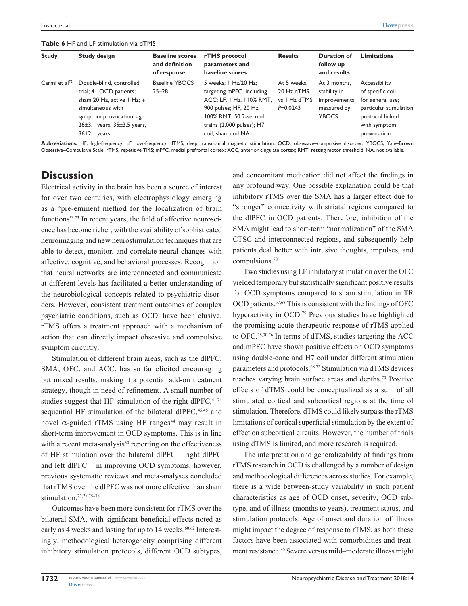**Table 6** HF and LF stimulation via dTMS

| <b>Study</b>       | <b>Study design</b>                                                                                                                                                                                 | <b>Baseline scores</b><br>and definition<br>of response | rTMS protocol<br>parameters and<br>baseline scores                                                                                                                                             | <b>Results</b>                                            | Duration of<br>follow up<br>and results                                     | <b>Limitations</b>                                                                                                                |
|--------------------|-----------------------------------------------------------------------------------------------------------------------------------------------------------------------------------------------------|---------------------------------------------------------|------------------------------------------------------------------------------------------------------------------------------------------------------------------------------------------------|-----------------------------------------------------------|-----------------------------------------------------------------------------|-----------------------------------------------------------------------------------------------------------------------------------|
| Carmi et $al^{72}$ | Double-blind, controlled<br>trial; 41 OCD patients;<br>sham 20 Hz, active $\vert$ Hz; +<br>simultaneous with<br>symptom provocation; age<br>$28\pm3.1$ years, $35\pm3.5$ years,<br>$36\pm2.1$ years | <b>Baseline YBOCS</b><br>$25 - 28$                      | 5 weeks: 1 Hz/20 Hz:<br>targeting mPFC, including<br>ACC; LF, 1 Hz, 110% RMT,<br>900 pulses; HF, 20 Hz,<br>100% RMT, 50 2-second<br>trains $(2,000 \text{ pulses})$ ; H7<br>coil; sham coil NA | At 5 weeks.<br>20 Hz dTMS<br>vs I Hz dTMS<br>$P = 0.0243$ | At 3 months.<br>stability in<br>improvements<br>measured by<br><b>YBOCS</b> | Accessibility<br>of specific coil<br>for general use;<br>particular stimulation<br>protocol linked<br>with symptom<br>provocation |

Abbreviations: HF, high-frequency; LF, low-frequency; dTMS, deep transcranial magnetic stimulation; OCD, obsessive-compulsive disorder; YBOCS, Yale-Brown Obsessive–Compulsive Scale; rTMS, repetitive TMS; mPFC, medial prefrontal cortex; ACC, anterior cingulate cortex; RMT, resting motor threshold; NA, not available.

# **Discussion**

Electrical activity in the brain has been a source of interest for over two centuries, with electrophysiology emerging as a "pre-eminent method for the localization of brain functions".73 In recent years, the field of affective neuroscience has become richer, with the availability of sophisticated neuroimaging and new neurostimulation techniques that are able to detect, monitor, and correlate neural changes with affective, cognitive, and behavioral processes. Recognition that neural networks are interconnected and communicate at different levels has facilitated a better understanding of the neurobiological concepts related to psychiatric disorders. However, consistent treatment outcomes of complex psychiatric conditions, such as OCD, have been elusive. rTMS offers a treatment approach with a mechanism of action that can directly impact obsessive and compulsive symptom circuitry.

Stimulation of different brain areas, such as the dlPFC, SMA, OFC, and ACC, has so far elicited encouraging but mixed results, making it a potential add-on treatment strategy, though in need of refinement. A small number of studies suggest that HF stimulation of the right dlPFC, $41,74$ sequential HF stimulation of the bilateral dlPFC,<sup>45,46</sup> and novel α-guided rTMS using HF ranges<sup>44</sup> may result in short-term improvement in OCD symptoms. This is in line with a recent meta-analysis $30$  reporting on the effectiveness of HF stimulation over the bilateral dlPFC – right dlPFC and left dlPFC – in improving OCD symptoms; however, previous systematic reviews and meta-analyses concluded that rTMS over the dlPFC was not more effective than sham stimulation.27,28,75–78

Outcomes have been more consistent for rTMS over the bilateral SMA, with significant beneficial effects noted as early as 4 weeks and lasting for up to 14 weeks.<sup>60,62</sup> Interestingly, methodological heterogeneity comprising different inhibitory stimulation protocols, different OCD subtypes,

and concomitant medication did not affect the findings in any profound way. One possible explanation could be that inhibitory rTMS over the SMA has a larger effect due to "stronger" connectivity with striatal regions compared to the dlPFC in OCD patients. Therefore, inhibition of the SMA might lead to short-term "normalization" of the SMA CTSC and interconnected regions, and subsequently help patients deal better with intrusive thoughts, impulses, and compulsions.78

Two studies using LF inhibitory stimulation over the OFC yielded temporary but statistically significant positive results for OCD symptoms compared to sham stimulation in TR OCD patients.67,68 This is consistent with the findings of OFC hyperactivity in OCD.79 Previous studies have highlighted the promising acute therapeutic response of rTMS applied to OFC.28,30,76 In terms of dTMS, studies targeting the ACC and mPFC have shown positive effects on OCD symptoms using double-cone and H7 coil under different stimulation parameters and protocols.68,72 Stimulation via dTMS devices reaches varying brain surface areas and depths.70 Positive effects of dTMS could be conceptualized as a sum of all stimulated cortical and subcortical regions at the time of stimulation. Therefore, dTMS could likely surpass the rTMS limitations of cortical superficial stimulation by the extent of effect on subcortical circuits. However, the number of trials using dTMS is limited, and more research is required.

The interpretation and generalizability of findings from rTMS research in OCD is challenged by a number of design and methodological differences across studies. For example, there is a wide between-study variability in such patient characteristics as age of OCD onset, severity, OCD subtype, and of illness (months to years), treatment status, and stimulation protocols. Age of onset and duration of illness might impact the degree of response to rTMS, as both these factors have been associated with comorbidities and treatment resistance.80 Severe versus mild–moderate illness might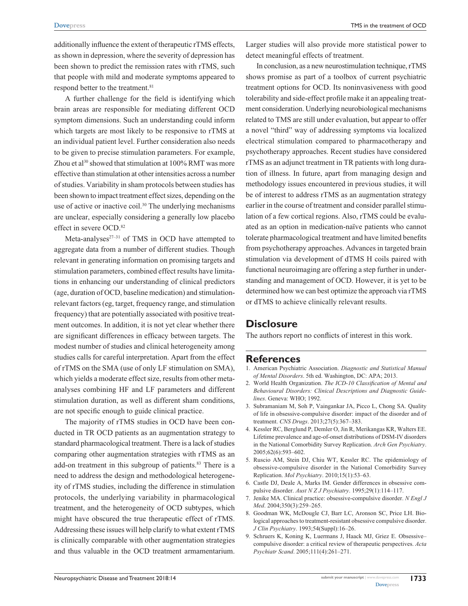additionally influence the extent of therapeutic rTMS effects, as shown in depression, where the severity of depression has been shown to predict the remission rates with rTMS, such that people with mild and moderate symptoms appeared to respond better to the treatment.<sup>81</sup>

A further challenge for the field is identifying which brain areas are responsible for mediating different OCD symptom dimensions. Such an understanding could inform which targets are most likely to be responsive to rTMS at an individual patient level. Further consideration also needs to be given to precise stimulation parameters. For example, Zhou et al<sup>30</sup> showed that stimulation at 100% RMT was more effective than stimulation at other intensities across a number of studies. Variability in sham protocols between studies has been shown to impact treatment effect sizes, depending on the use of active or inactive coil.<sup>30</sup> The underlying mechanisms are unclear, especially considering a generally low placebo effect in severe OCD.<sup>82</sup>

Meta-analyses $27-31$  of TMS in OCD have attempted to aggregate data from a number of different studies. Though relevant in generating information on promising targets and stimulation parameters, combined effect results have limitations in enhancing our understanding of clinical predictors (age, duration of OCD, baseline medication) and stimulationrelevant factors (eg, target, frequency range, and stimulation frequency) that are potentially associated with positive treatment outcomes. In addition, it is not yet clear whether there are significant differences in efficacy between targets. The modest number of studies and clinical heterogeneity among studies calls for careful interpretation. Apart from the effect of rTMS on the SMA (use of only LF stimulation on SMA), which yields a moderate effect size, results from other metaanalyses combining HF and LF parameters and different stimulation duration, as well as different sham conditions, are not specific enough to guide clinical practice.

The majority of rTMS studies in OCD have been conducted in TR OCD patients as an augmentation strategy to standard pharmacological treatment. There is a lack of studies comparing other augmentation strategies with rTMS as an add-on treatment in this subgroup of patients.<sup>83</sup> There is a need to address the design and methodological heterogeneity of rTMS studies, including the difference in stimulation protocols, the underlying variability in pharmacological treatment, and the heterogeneity of OCD subtypes, which might have obscured the true therapeutic effect of rTMS. Addressing these issues will help clarify to what extent rTMS is clinically comparable with other augmentation strategies and thus valuable in the OCD treatment armamentarium.

Larger studies will also provide more statistical power to detect meaningful effects of treatment.

In conclusion, as a new neurostimulation technique, rTMS shows promise as part of a toolbox of current psychiatric treatment options for OCD. Its noninvasiveness with good tolerability and side-effect profile make it an appealing treatment consideration. Underlying neurobiological mechanisms related to TMS are still under evaluation, but appear to offer a novel "third" way of addressing symptoms via localized electrical stimulation compared to pharmacotherapy and psychotherapy approaches. Recent studies have considered rTMS as an adjunct treatment in TR patients with long duration of illness. In future, apart from managing design and methodology issues encountered in previous studies, it will be of interest to address rTMS as an augmentation strategy earlier in the course of treatment and consider parallel stimulation of a few cortical regions. Also, rTMS could be evaluated as an option in medication-naïve patients who cannot tolerate pharmacological treatment and have limited benefits from psychotherapy approaches. Advances in targeted brain stimulation via development of dTMS H coils paired with functional neuroimaging are offering a step further in understanding and management of OCD. However, it is yet to be determined how we can best optimize the approach via rTMS or dTMS to achieve clinically relevant results.

# **Disclosure**

The authors report no conflicts of interest in this work.

## **References**

- 1. American Psychiatric Association. *Diagnostic and Statistical Manual of Mental Disorders*. 5th ed. Washington, DC: APA; 2013.
- 2. World Health Organization. *The ICD-10 Classification of Mental and Behavioural Disorders: Clinical Descriptions and Diagnostic Guidelines*. Geneva: WHO; 1992.
- 3. Subramaniam M, Soh P, Vaingankar JA, Picco L, Chong SA. Quality of life in obsessive-compulsive disorder: impact of the disorder and of treatment. *CNS Drugs*. 2013;27(5):367–383.
- 4. Kessler RC, Berglund P, Demler O, Jin R, Merikangas KR, Walters EE. Lifetime prevalence and age-of-onset distributions of DSM-IV disorders in the National Comorbidity Survey Replication. *Arch Gen Psychiatry*. 2005;62(6):593–602.
- 5. Ruscio AM, Stein DJ, Chiu WT, Kessler RC. The epidemiology of obsessive-compulsive disorder in the National Comorbidity Survey Replication. *Mol Psychiatry*. 2010;15(1):53–63.
- 6. Castle DJ, Deale A, Marks IM. Gender differences in obsessive compulsive disorder. *Aust N Z J Psychiatry*. 1995;29(1):114–117.
- 7. Jenike MA. Clinical practice: obsessive-compulsive disorder. *N Engl J Med*. 2004;350(3):259–265.
- 8. Goodman WK, McDougle CJ, Barr LC, Aronson SC, Price LH. Biological approaches to treatment-resistant obsessive compulsive disorder. *J Clin Psychiatry*. 1993;54(Suppl):16–26.
- 9. Schruers K, Koning K, Luermans J, Haack MJ, Griez E. Obsessive– compulsive disorder: a critical review of therapeutic perspectives. *Acta Psychiatr Scand*. 2005;111(4):261–271.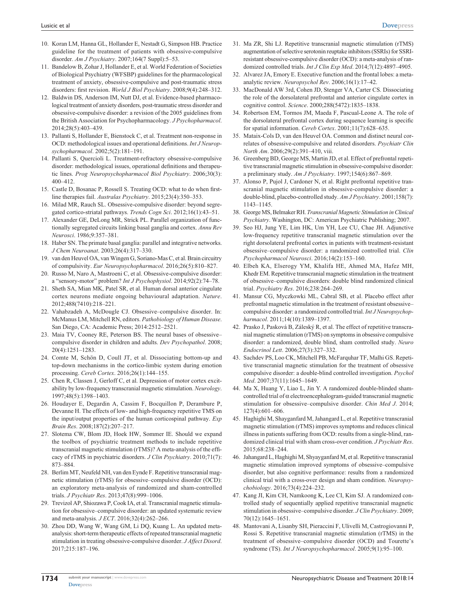- 10. Koran LM, Hanna GL, Hollander E, Nestadt G, Simpson HB. Practice guideline for the treatment of patients with obsessive-compulsive disorder. *Am J Psychiatry*. 2007;164(7 Suppl):5–53.
- 11. Bandelow B, Zohar J, Hollander E, et al. World Federation of Societies of Biological Psychiatry (WFSBP) guidelines for the pharmacological treatment of anxiety, obsessive-compulsive and post-traumatic stress disorders: first revision. *World J Biol Psychiatry*. 2008;9(4):248–312.
- 12. Baldwin DS, Anderson IM, Nutt DJ, et al. Evidence-based pharmacological treatment of anxiety disorders, post-traumatic stress disorder and obsessive-compulsive disorder: a revision of the 2005 guidelines from the British Association for Psychopharmacology. *J Psychopharmacol*. 2014;28(5):403–439.
- 13. Pallanti S, Hollander E, Bienstock C, et al. Treatment non-response in OCD: methodological issues and operational definitions. *Int J Neuropsychopharmacol*. 2002;5(2):181–191.
- 14. Pallanti S, Quercioli L. Treatment-refractory obsessive-compulsive disorder: methodological issues, operational definitions and therapeutic lines. *Prog Neuropsychopharmacol Biol Psychiatry*. 2006;30(3): 400–412.
- 15. Castle D, Bosanac P, Rossell S. Treating OCD: what to do when firstline therapies fail. *Australas Psychiatry*. 2015;23(4):350–353.
- 16. Milad MR, Rauch SL. Obsessive-compulsive disorder: beyond segregated cortico-striatal pathways. *Trends Cogn Sci*. 2012;16(1):43–51.
- 17. Alexander GE, DeLong MR, Strick PL. Parallel organization of functionally segregated circuits linking basal ganglia and cortex. *Annu Rev Neurosci*. 1986;9:357–381.
- 18. Haber SN. The primate basal ganglia: parallel and integrative networks. *J Chem Neuroanat*. 2003;26(4):317–330.
- 19. van den Heuvel OA, van Wingen G, Soriano-Mas C, et al. Brain circuitry of compulsivity. *Eur Neuropsychopharmacol*. 2016;26(5):810–827.
- 20. Russo M, Naro A, Mastroeni C, et al. Obsessive-compulsive disorder: a "sensory-motor" problem? *Int J Psychophysiol*. 2014;92(2):74–78.
- 21. Sheth SA, Mian MK, Patel SR, et al. Human dorsal anterior cingulate cortex neurons mediate ongoing behavioural adaptation. *Nature*. 2012;488(7410):218–221.
- 22. Vahabzadeh A, McDougle CJ. Obsessive–compulsive disorder. In: McManus LM, Mitchell RN, editors. *Pathobiology of Human Disease*. San Diego, CA: Academic Press; 2014:2512–2521.
- 23. Maia TV, Cooney RE, Peterson BS. The neural bases of obsessive– compulsive disorder in children and adults. *Dev Psychopathol*. 2008; 20(4):1251–1283.
- 24. Comte M, Schön D, Coull JT, et al. Dissociating bottom-up and top-down mechanisms in the cortico-limbic system during emotion processing. *Cereb Cortex*. 2016;26(1):144–155.
- 25. Chen R, Classen J, Gerloff C, et al. Depression of motor cortex excitability by low-frequency transcranial magnetic stimulation. *Neurology*. 1997;48(5):1398–1403.
- 26. Houdayer E, Degardin A, Cassim F, Bocquillon P, Derambure P, Devanne H. The effects of low- and high-frequency repetitive TMS on the input/output properties of the human corticospinal pathway. *Exp Brain Res*. 2008;187(2):207–217.
- 27. Slotema CW, Blom JD, Hoek HW, Sommer IE. Should we expand the toolbox of psychiatric treatment methods to include repetitive transcranial magnetic stimulation (rTMS)? A meta-analysis of the efficacy of rTMS in psychiatric disorders. *J Clin Psychiatry*. 2010;71(7): 873–884.
- 28. Berlim MT, Neufeld NH, van den Eynde F. Repetitive transcranial magnetic stimulation (rTMS) for obsessive–compulsive disorder (OCD): an exploratory meta-analysis of randomized and sham-controlled trials. *J Psychiatr Res*. 2013;47(8):999–1006.
- 29. Trevizol AP, Shiozawa P, Cook IA, et al. Transcranial magnetic stimulation for obsessive–compulsive disorder: an updated systematic review and meta-analysis. *J ECT*. 2016;32(4):262–266.
- 30. Zhou DD, Wang W, Wang GM, Li DQ, Kuang L. An updated metaanalysis: short-term therapeutic effects of repeated transcranial magnetic stimulation in treating obsessive-compulsive disorder. *J Affect Disord*. 2017;215:187–196.
- 31. Ma ZR, Shi LJ. Repetitive transcranial magnetic stimulation (rTMS) augmentation of selective serotonin reuptake inhibitors (SSRIs) for SSRIresistant obsessive-compulsive disorder (OCD): a meta-analysis of randomized controlled trials. *Int J Clin Exp Med*. 2014;7(12):4897–4905.
- 32. Alvarez JA, Emory E. Executive function and the frontal lobes: a metaanalytic review. *Neuropsychol Rev*. 2006;16(1):17–42.
- 33. MacDonald AW 3rd, Cohen JD, Stenger VA, Carter CS. Dissociating the role of the dorsolateral prefrontal and anterior cingulate cortex in cognitive control. *Science*. 2000;288(5472):1835–1838.
- 34. Robertson EM, Tormos JM, Maeda F, Pascual-Leone A. The role of the dorsolateral prefrontal cortex during sequence learning is specific for spatial information. *Cereb Cortex*. 2001;11(7):628–635.
- 35. Mataix-Cols D, van den Heuvel OA. Common and distinct neural correlates of obsessive-compulsive and related disorders. *Psychiatr Clin North Am*. 2006;29(2):391–410, viii.
- 36. Greenberg BD, George MS, Martin JD, et al. Effect of prefrontal repetitive transcranial magnetic stimulation in obsessive-compulsive disorder: a preliminary study. *Am J Psychiatry*. 1997;154(6):867–869.
- 37. Alonso P, Pujol J, Cardoner N, et al. Right prefrontal repetitive transcranial magnetic stimulation in obsessive-compulsive disorder: a double-blind, placebo-controlled study. *Am J Psychiatry*. 2001;158(7): 1143–1145.
- 38. George MS, Belmaker RH. *Transcranial Magnetic Stimulation in Clinical Psychiatry*. Washington, DC: American Psychiatric Publishing; 2007.
- 39. Seo HJ, Jung YE, Lim HK, Um YH, Lee CU, Chae JH. Adjunctive low-frequency repetitive transcranial magnetic stimulation over the right dorsolateral prefrontal cortex in patients with treatment-resistant obsessive–compulsive disorder: a randomized controlled trial. *Clin Psychopharmacol Neurosci*. 2016;14(2):153–160.
- 40. Elbeh KA, Elserogy YM, Khalifa HE, Ahmed MA, Hafez MH, Khedr EM. Repetitive transcranial magnetic stimulation in the treatment of obsessive–compulsive disorders: double blind randomized clinical trial. *Psychiatry Res*. 2016;238:264–269.
- 41. Mansur CG, Myczkowki ML, Cabral SB, et al. Placebo effect after prefrontal magnetic stimulation in the treatment of resistant obsessive– compulsive disorder: a randomized controlled trial. *Int J Neuropsychopharmacol*. 2011;14(10):1389–1397.
- 42. Prasko J, Pasková B, Záleský R, et al. The effect of repetitive transcranial magnetic stimulation (rTMS) on symptoms in obsessive compulsive disorder: a randomized, double blind, sham controlled study. *Neuro Endocrinol Lett*. 2006;27(3):327–332.
- 43. Sachdev PS, Loo CK, Mitchell PB, McFarquhar TF, Malhi GS. Repetitive transcranial magnetic stimulation for the treatment of obsessive compulsive disorder: a double-blind controlled investigation. *Psychol Med*. 2007;37(11):1645–1649.
- 44. Ma X, Huang Y, Liao L, Jin Y. A randomized double-blinded shamcontrolled trial of α electroencephalogram-guided transcranial magnetic stimulation for obsessive–compulsive disorder. *Chin Med J*. 2014; 127(4):601–606.
- 45. Haghighi M, Shayganfard M, Jahangard L, et al. Repetitive transcranial magnetic stimulation (rTMS) improves symptoms and reduces clinical illness in patients suffering from OCD: results from a single-blind, randomized clinical trial with sham cross-over condition. *J Psychiatr Res*. 2015;68:238–244.
- 46. Jahangard L, Haghighi M, Shyayganfard M, et al. Repetitive transcranial magnetic stimulation improved symptoms of obsessive–compulsive disorder, but also cognitive performance: results from a randomized clinical trial with a cross-over design and sham condition. *Neuropsychobiology*. 2016;73(4):224–232.
- 47. Kang JI, Kim CH, Namkoong K, Lee CI, Kim SJ. A randomized controlled study of sequentially applied repetitive transcranial magnetic stimulation in obsessive–compulsive disorder. *J Clin Psychiatry*. 2009; 70(12):1645–1651.
- 48. Mantovani A, Lisanby SH, Pieraccini F, Ulivelli M, Castrogiovanni P, Rossi S. Repetitive transcranial magnetic stimulation (rTMS) in the treatment of obsessive–compulsive disorder (OCD) and Tourette's syndrome (TS). *Int J Neuropsychopharmacol*. 2005;9(1):95–100.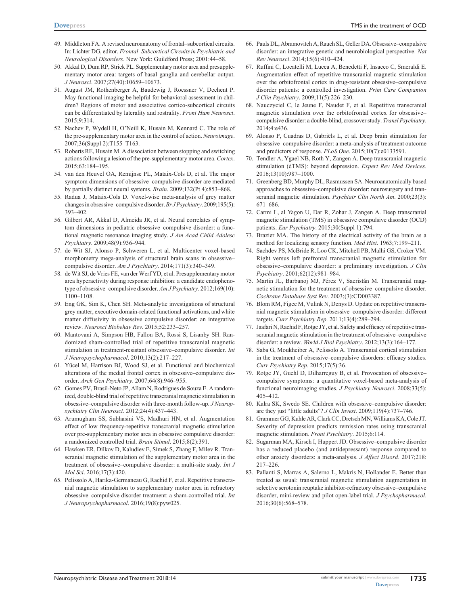- 49. Middleton FA. A revised neuroanatomy of frontal–subcortical circuits. In: Lichter DG, editor. *Frontal–Subcortical Circuits in Psychiatric and Neurological Disorders*. New York: Guildford Press; 2001:44–58.
- 50. Akkal D, Dum RP, Strick PL. Supplementary motor area and presupplementary motor area: targets of basal ganglia and cerebellar output. *J Neurosci*. 2007;27(40):10659–10673.
- 51. August JM, Rothenberger A, Baudewig J, Roessner V, Dechent P. May functional imaging be helpful for behavioral assessment in children? Regions of motor and associative cortico-subcortical circuits can be differentiated by laterality and rostrality. *Front Hum Neurosci*. 2015;9:314.
- 52. Nachev P, Wydell H, O'Neill K, Husain M, Kennard C. The role of the pre-supplementary motor area in the control of action. *Neuroimage*. 2007;36(Suppl 2):T155–T163.
- 53. Roberts RE, Husain M. A dissociation between stopping and switching actions following a lesion of the pre-supplementary motor area. *Cortex*. 2015;63:184–195.
- 54. van den Heuvel OA, Remijnse PL, Mataix-Cols D, et al. The major symptom dimensions of obsessive–compulsive disorder are mediated by partially distinct neural systems. *Brain*. 2009;132(Pt 4):853–868.
- 55. Radua J, Mataix-Cols D. Voxel-wise meta-analysis of grey matter changes in obsessive–compulsive disorder. *Br J Psychiatry*. 2009;195(5): 393–402.
- 56. Gilbert AR, Akkal D, Almeida JR, et al. Neural correlates of symptom dimensions in pediatric obsessive–compulsive disorder: a functional magnetic resonance imaging study. *J Am Acad Child Adolesc Psychiatry*. 2009;48(9):936–944.
- 57. de Wit SJ, Alonso P, Schweren L, et al. Multicenter voxel-based morphometry mega-analysis of structural brain scans in obsessive– compulsive disorder. *Am J Psychiatry*. 2014;171(3):340–349.
- 58. de Wit SJ, de Vries FE, van der Werf YD, et al. Presupplementary motor area hyperactivity during response inhibition: a candidate endophenotype of obsessive–compulsive disorder. *Am J Psychiatry*. 2012;169(10): 1100–1108.
- 59. Eng GK, Sim K, Chen SH. Meta-analytic investigations of structural grey matter, executive domain-related functional activations, and white matter diffusivity in obsessive compulsive disorder: an integrative review. *Neurosci Biobehav Rev*. 2015;52:233–257.
- 60. Mantovani A, Simpson HB, Fallon BA, Rossi S, Lisanby SH. Randomized sham-controlled trial of repetitive transcranial magnetic stimulation in treatment-resistant obsessive–compulsive disorder. *Int J Neuropsychopharmacol*. 2010;13(2):217–227.
- 61. Yücel M, Harrison BJ, Wood SJ, et al. Functional and biochemical alterations of the medial frontal cortex in obsessive–compulsive disorder. *Arch Gen Psychiatry*. 2007;64(8):946–955.
- 62. Gomes PV, Brasil-Neto JP, Allam N, Rodrigues de Souza E. A randomized, double-blind trial of repetitive transcranial magnetic stimulation in obsessive–compulsive disorder with three-month follow-up. *J Neuropsychiatry Clin Neurosci*. 2012;24(4):437–443.
- 63. Arumugham SS, Subhasini VS, Madhuri HN, et al. Augmentation effect of low frequency-repetitive transcranial magnetic stimulation over pre-supplementary motor area in obsessive compulsive disorder: a randomized controlled trial. *Brain Stimul*. 2015;8(2):391.
- 64. Hawken ER, Dilkov D, Kaludiev E, Simek S, Zhang F, Milev R. Transcranial magnetic stimulation of the supplementary motor area in the treatment of obsessive–compulsive disorder: a multi-site study. *Int J Mol Sci*. 2016;17(3):420.
- 65. Pelissolo A, Harika-Germaneau G, Rachid F, et al. Repetitive transcranial magnetic stimulation to supplementary motor area in refractory obsessive–compulsive disorder treatment: a sham-controlled trial. *Int J Neuropsychopharmacol*. 2016;19(8):pyw025.
- 66. Pauls DL, Abramovitch A, Rauch SL, Geller DA. Obsessive–compulsive disorder: an integrative genetic and neurobiological perspective. *Nat Rev Neurosci*. 2014;15(6):410–424.
- 67. Ruffini C, Locatelli M, Lucca A, Benedetti F, Insacco C, Smeraldi E. Augmentation effect of repetitive transcranial magnetic stimulation over the orbitofrontal cortex in drug-resistant obsessive–compulsive disorder patients: a controlled investigation. *Prim Care Companion J Clin Psychiatry*. 2009;11(5):226–230.
- 68. Nauczyciel C, le Jeune F, Naudet F, et al. Repetitive transcranial magnetic stimulation over the orbitofrontal cortex for obsessive– compulsive disorder: a double-blind, crossover study. *Transl Psychiatry*. 2014;4:e436.
- 69. Alonso P, Cuadras D, Gabriëls L, et al. Deep brain stimulation for obsessive–compulsive disorder: a meta-analysis of treatment outcome and predictors of response. *PLoS One*. 2015;10(7):e0133591.
- 70. Tendler A, Ygael NB, Roth Y, Zangen A. Deep transcranial magnetic stimulation (dTMS): beyond depression. *Expert Rev Med Devices*. 2016;13(10):987–1000.
- 71. Greenberg BD, Murphy DL, Rasmussen SA. Neuroanatomically based approaches to obsessive–compulsive disorder: neurosurgery and transcranial magnetic stimulation. *Psychiatr Clin North Am*. 2000;23(3): 671–686.
- 72. Carmi L, al Yagon U, Dar R, Zohar J, Zangen A. Deep transcranial magnetic stimulation (TMS) in obsessive compulsive disorder (OCD) patients. *Eur Psychiatry*. 2015;30(Suppl 1):794.
- 73. Brazier MA. The history of the electrical activity of the brain as a method for localizing sensory function. *Med Hist*. 1963;7:199–211.
- 74. Sachdev PS, McBride R, Loo CK, Mitchell PB, Malhi GS, Croker VM. Right versus left prefrontal transcranial magnetic stimulation for obsessive–compulsive disorder: a preliminary investigation. *J Clin Psychiatry*. 2001;62(12):981–984.
- 75. Martin JL, Barbanoj MJ, Pérez V, Sacristán M. Transcranial magnetic stimulation for the treatment of obsessive–compulsive disorder. *Cochrane Database Syst Rev*. 2003;(3):CD003387.
- 76. Blom RM, Figee M, Vulink N, Denys D. Update on repetitive transcranial magnetic stimulation in obsessive–compulsive disorder: different targets. *Curr Psychiatry Rep*. 2011;13(4):289–294.
- 77. Jaafari N, Rachid F, Rotge JY, et al. Safety and efficacy of repetitive transcranial magnetic stimulation in the treatment of obsessive–compulsive disorder: a review. *World J Biol Psychiatry*. 2012;13(3):164–177.
- 78. Saba G, Moukheiber A, Pelissolo A. Transcranial cortical stimulation in the treatment of obsessive–compulsive disorders: efficacy studies. *Curr Psychiatry Rep*. 2015;17(5):36.
- 79. Rotge JY, Guehl D, Dilharreguy B, et al. Provocation of obsessive– compulsive symptoms: a quantitative voxel-based meta-analysis of functional neuroimaging studies. *J Psychiatry Neurosci*. 2008;33(5): 405–412.
- 80. Kalra SK, Swedo SE. Children with obsessive–compulsive disorder: are they just "little adults"? *J Clin Invest*. 2009;119(4):737–746.
- 81. Grammer GG, Kuhle AR, Clark CC, Dretsch MN, Williams KA, Cole JT. Severity of depression predicts remission rates using transcranial magnetic stimulation. *Front Psychiatry*. 2015;6:114.
- 82. Sugarman MA, Kirsch I, Huppert JD. Obsessive–compulsive disorder has a reduced placebo (and antidepressant) response compared to other anxiety disorders: a meta-analysis. *J Affect Disord*. 2017;218: 217–226.
- 83. Pallanti S, Marras A, Salerno L, Makris N, Hollander E. Better than treated as usual: transcranial magnetic stimulation augmentation in selective serotonin reuptake inhibitor-refractory obsessive–compulsive disorder, mini-review and pilot open-label trial. *J Psychopharmacol*. 2016;30(6):568–578.